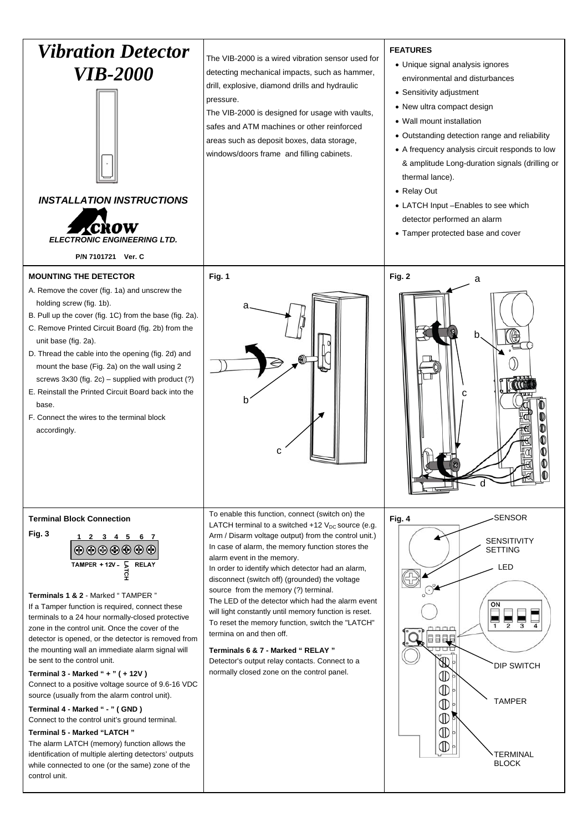